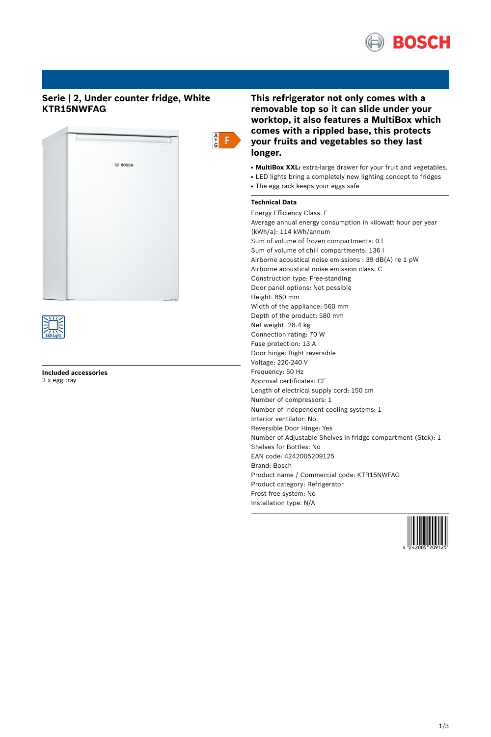

# **Serie | 2, Under counter fridge, White KTR15NWFAG**





**Included accessories** 2 x egg tray

# **This refrigerator not only comes with a removable top so it can slide under your worktop, it also features a MultiBox which comes with a rippled base, this protects your fruits and vegetables so they last longer.**

- **MultiBox XXL:** extra-large drawer for your fruit and vegetables.
- LED lights bring a completely new lighting concept to fridges
- The egg rack keeps your eggs safe

# **Technical Data**

Energy Efficiency Class: F Average annual energy consumption in kilowatt hour per year (kWh/a): 114 kWh/annum Sum of volume of frozen compartments: 0 l Sum of volume of chill compartments: 136 l Airborne acoustical noise emissions : 39 dB(A) re 1 pW Airborne acoustical noise emission class: C Construction type: Free-standing Door panel options: Not possible Height: 850 mm Width of the appliance: 560 mm Depth of the product: 580 mm Net weight: 28.4 kg Connection rating: 70 W Fuse protection: 13 A Door hinge: Right reversible Voltage: 220-240 V Frequency: 50 Hz Approval certificates: CE Length of electrical supply cord: 150 cm Number of compressors: 1 Number of independent cooling systems: 1 Interior ventilator: No Reversible Door Hinge: Yes Number of Adjustable Shelves in fridge compartment (Stck): 1 Shelves for Bottles: No EAN code: 4242005209125 Brand: Bosch Product name / Commercial code: KTR15NWFAG Product category: Refrigerator Frost free system: No Installation type: N/A

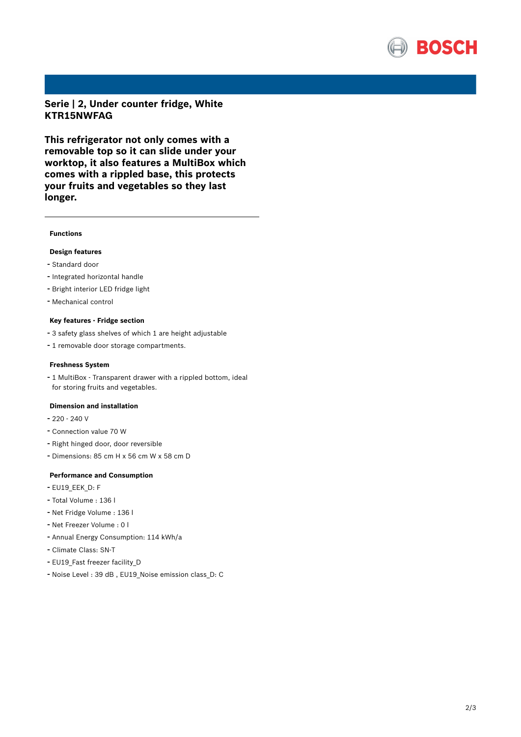

**Serie | 2, Under counter fridge, White KTR15NWFAG**

**This refrigerator not only comes with a removable top so it can slide under your worktop, it also features a MultiBox which comes with a rippled base, this protects your fruits and vegetables so they last longer.**

### **Functions**

## **Design features**

- Standard door
- Integrated horizontal handle
- Bright interior LED fridge light
- Mechanical control

## **Key features - Fridge section**

- <sup>3</sup> safety glass shelves of which <sup>1</sup> are height adjustable
- <sup>1</sup> removable door storage compartments.

#### **Freshness System**

- <sup>1</sup> MultiBox - Transparent drawer with <sup>a</sup> rippled bottom, ideal for storing fruits and vegetables.

### **Dimension and installation**

- $-220 240$  V
- Connection value <sup>70</sup> <sup>W</sup>
- Right hinged door, door reversible
- Dimensions: 85 cm H x 56 cm W x 58 cm D

### **Performance and Consumption**

- EU19\_EEK\_D: F
- Total Volume : <sup>136</sup> <sup>l</sup>
- Net Fridge Volume : <sup>136</sup> <sup>l</sup>
- Net Freezer Volume : <sup>0</sup> <sup>l</sup>
- Annual Energy Consumption: <sup>114</sup> kWh/a
- Climate Class: SN-T
- EU19 Fast freezer facility D
- Noise Level : <sup>39</sup> dB , EU19\_Noise emission class\_D: <sup>C</sup>